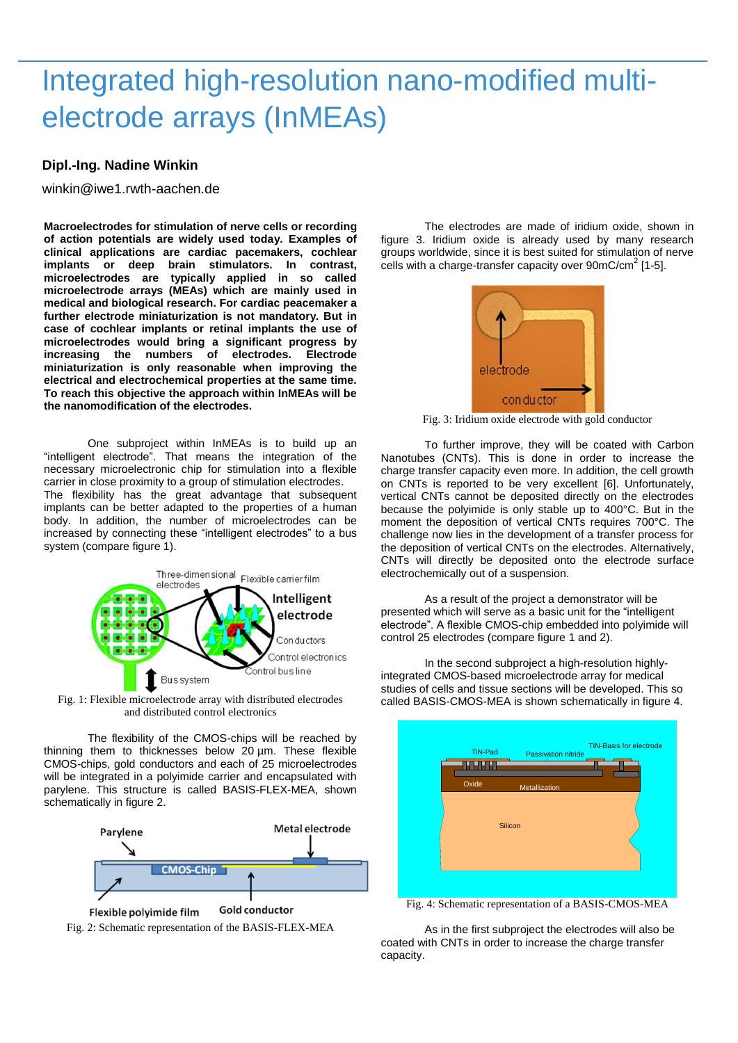## Integrated high-resolution nano-modified multielectrode arrays (InMEAs)

## **Dipl.-Ing. Nadine Winkin**

winkin@iwe1.rwth-aachen.de

**Macroelectrodes for stimulation of nerve cells or recording of action potentials are widely used today. Examples of clinical applications are cardiac pacemakers, cochlear implants or deep brain stimulators. In contrast, microelectrodes are typically applied in so called microelectrode arrays (MEAs) which are mainly used in medical and biological research. For cardiac peacemaker a further electrode miniaturization is not mandatory. But in case of cochlear implants or retinal implants the use of microelectrodes would bring a significant progress by increasing the numbers of electrodes. Electrode miniaturization is only reasonable when improving the electrical and electrochemical properties at the same time. To reach this objective the approach within InMEAs will be the nanomodification of the electrodes.**

One subproject within InMEAs is to build up an "intelligent electrode". That means the integration of the necessary microelectronic chip for stimulation into a flexible carrier in close proximity to a group of stimulation electrodes. The flexibility has the great advantage that subsequent implants can be better adapted to the properties of a human body. In addition, the number of microelectrodes can be increased by connecting these "intelligent electrodes" to a bus system (compare figure 1).



Fig. 1: Flexible microelectrode array with distributed electrodes and distributed control electronics

The flexibility of the CMOS-chips will be reached by thinning them to thicknesses below 20 µm. These flexible CMOS-chips, gold conductors and each of 25 microelectrodes will be integrated in a polyimide carrier and encapsulated with parylene. This structure is called BASIS-FLEX-MEA, shown schematically in figure 2.



Fig. 2: Schematic representation of the BASIS-FLEX-MEA

The electrodes are made of iridium oxide, shown in figure 3. Iridium oxide is already used by many research groups worldwide, since it is best suited for stimulation of nerve cells with a charge-transfer capacity over  $90 \text{mC/cm}^2$  [1-5].



Fig. 3: Iridium oxide electrode with gold conductor

To further improve, they will be coated with Carbon Nanotubes (CNTs). This is done in order to increase the charge transfer capacity even more. In addition, the cell growth on CNTs is reported to be very excellent [6]. Unfortunately, vertical CNTs cannot be deposited directly on the electrodes because the polyimide is only stable up to 400°C. But in the moment the deposition of vertical CNTs requires 700°C. The challenge now lies in the development of a transfer process for the deposition of vertical CNTs on the electrodes. Alternatively, CNTs will directly be deposited onto the electrode surface electrochemically out of a suspension.

As a result of the project a demonstrator will be presented which will serve as a basic unit for the "intelligent electrode". A flexible CMOS-chip embedded into polyimide will control 25 electrodes (compare figure 1 and 2).

In the second subproject a high-resolution highlyintegrated CMOS-based microelectrode array for medical studies of cells and tissue sections will be developed. This so called BASIS-CMOS-MEA is shown schematically in figure 4.



Fig. 4: Schematic representation of a BASIS-CMOS-MEA

As in the first subproject the electrodes will also be coated with CNTs in order to increase the charge transfer capacity.